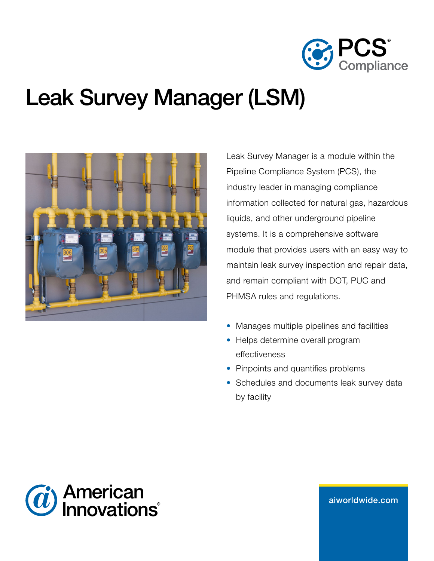

# Leak Survey Manager (LSM)



Leak Survey Manager is a module within the Pipeline Compliance System (PCS), the industry leader in managing compliance information collected for natural gas, hazardous liquids, and other underground pipeline systems. It is a comprehensive software module that provides users with an easy way to maintain leak survey inspection and repair data, and remain compliant with DOT, PUC and PHMSA rules and regulations.

- Manages multiple pipelines and facilities
- Helps determine overall program effectiveness
- Pinpoints and quantifies problems
- Schedules and documents leak survey data by facility



aiw[orldwide.com](http://aiworldwide.com)